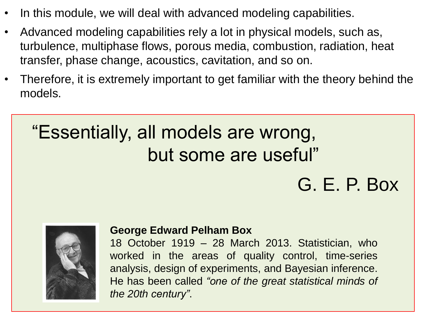- In this module, we will deal with advanced modeling capabilities.
- Advanced modeling capabilities rely a lot in physical models, such as, turbulence, multiphase flows, porous media, combustion, radiation, heat transfer, phase change, acoustics, cavitation, and so on.
- Therefore, it is extremely important to get familiar with the theory behind the models.

# "Essentially, all models are wrong, but some are useful"

# G. E. P. Box



#### **George Edward Pelham Box**

18 October 1919 – 28 March 2013. Statistician, who worked in the areas of quality control, time-series analysis, design of experiments, and Bayesian inference. He has been called *"one of the great statistical minds of the 20th century"*.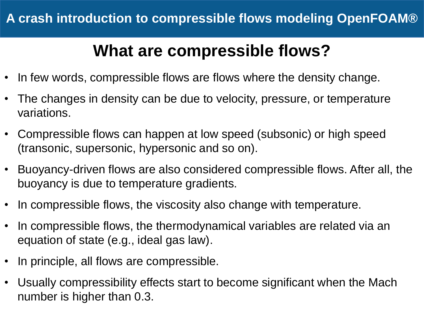#### **What are compressible flows?**

- In few words, compressible flows are flows where the density change.
- The changes in density can be due to velocity, pressure, or temperature variations.
- Compressible flows can happen at low speed (subsonic) or high speed (transonic, supersonic, hypersonic and so on).
- Buoyancy-driven flows are also considered compressible flows. After all, the buoyancy is due to temperature gradients.
- In compressible flows, the viscosity also change with temperature.
- In compressible flows, the thermodynamical variables are related via an equation of state (e.g., ideal gas law).
- In principle, all flows are compressible.
- Usually compressibility effects start to become significant when the Mach number is higher than 0.3.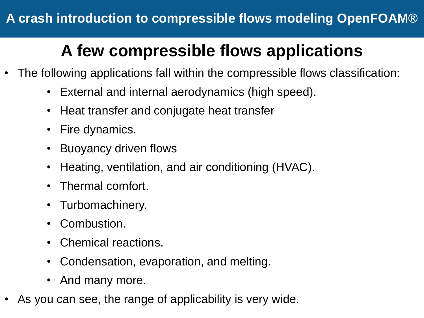# **A few compressible flows applications**

- The following applications fall within the compressible flows classification:
	- External and internal aerodynamics (high speed).
	- Heat transfer and conjugate heat transfer
	- Fire dynamics.
	- Buoyancy driven flows
	- Heating, ventilation, and air conditioning (HVAC).
	- Thermal comfort.
	- Turbomachinery.
	- Combustion.
	- Chemical reactions.
	- Condensation, evaporation, and melting.
	- And many more.
- As you can see, the range of applicability is very wide.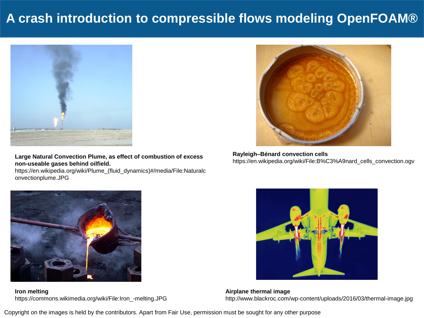#### **A crash introduction to compressible flows modeling OpenFOAM®**



**Large Natural Convection Plume, as effect of combustion of excess non-useable gases behind oilfield.**

https://en.wikipedia.org/wiki/Plume\_(fluid\_dynamics)#/media/File:Naturalc onvectionplume.JPG



**Rayleigh–Bénard convection cells** https://en.wikipedia.org/wiki/File:B%C3%A9nard\_cells\_convection.ogv



**Iron melting** https://commons.wikimedia.org/wiki/File:Iron\_-melting.JPG



**Airplane thermal image** http://www.blackroc.com/wp-content/uploads/2016/03/thermal-image.jpg

Copyright on the images is held by the contributors. Apart from Fair Use, permission must be sought for any other purpose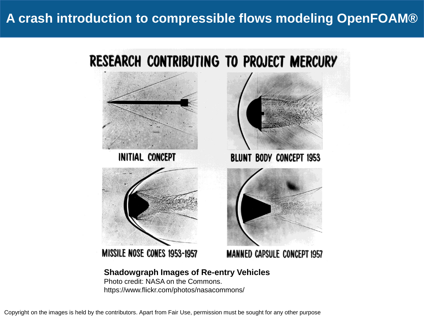#### **A crash introduction to compressible flows modeling OpenFOAM®**



Copyright on the images is held by the contributors. Apart from Fair Use, permission must be sought for any other purpose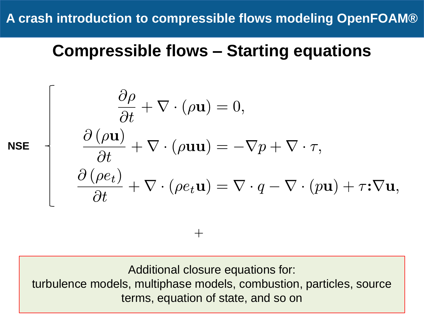**A crash introduction to compressible flows modeling OpenFOAM®**

#### **Compressible flows – Starting equations**

$$
\mathbf{E} \begin{cases} \n\frac{\partial \rho}{\partial t} + \nabla \cdot (\rho \mathbf{u}) = 0, \\
\frac{\partial (\rho \mathbf{u})}{\partial t} + \nabla \cdot (\rho \mathbf{u} \mathbf{u}) = -\nabla p + \nabla \cdot \tau, \\
\frac{\partial (\rho e_t)}{\partial t} + \nabla \cdot (\rho e_t \mathbf{u}) = \nabla \cdot q - \nabla \cdot (p \mathbf{u}) + \tau \cdot \nabla \mathbf{u},\n\end{cases}
$$

**NS** 

 $\Gamma$ 

Additional closure equations for: turbulence models, multiphase models, combustion, particles, source terms, equation of state, and so on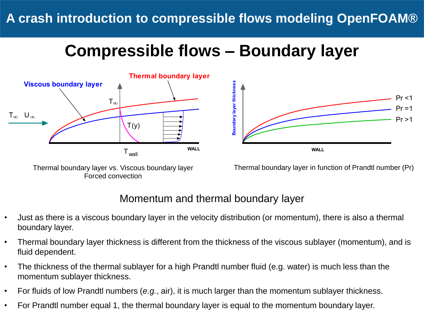#### **Compressible flows – Boundary layer** Г



Thermal boundary layer vs. Viscous boundary layer Forced convection



Thermal boundary layer in function of Prandtl number (Pr)

#### Momentum and thermal boundary layer

- Just as there is a viscous boundary layer in the velocity distribution (or momentum), there is also a thermal boundary layer.
- Thermal boundary layer thickness is different from the thickness of the viscous sublayer (momentum), and is fluid dependent.
- The thickness of the thermal sublayer for a high Prandtl number fluid (e.g. water) is much less than the momentum sublayer thickness.
- For fluids of low Prandtl numbers (*e.g.*, air), it is much larger than the momentum sublayer thickness.
- For Prandtl number equal 1, the thermal boundary layer is equal to the momentum boundary layer.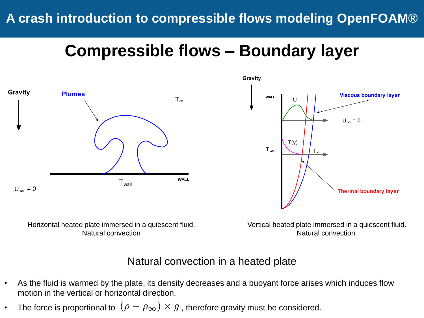#### **Compressible flows – Boundary layer**





Horizontal heated plate immersed in a quiescent fluid. Natural convection

Vertical heated plate immersed in a quiescent fluid. Natural convection.

#### Natural convection in a heated plate

- As the fluid is warmed by the plate, its density decreases and a buoyant force arises which induces flow motion in the vertical or horizontal direction.
- The force is proportional to  $(\rho \rho_{\infty}) \times g$  , therefore gravity must be considered.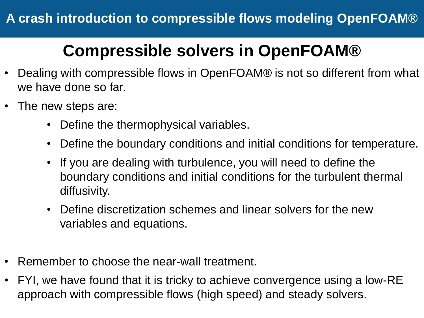- Dealing with compressible flows in OpenFOAM**®** is not so different from what we have done so far.
- The new steps are:
	- Define the thermophysical variables.
	- Define the boundary conditions and initial conditions for temperature.
	- If you are dealing with turbulence, you will need to define the boundary conditions and initial conditions for the turbulent thermal diffusivity.
	- Define discretization schemes and linear solvers for the new variables and equations.
- Remember to choose the near-wall treatment.
- FYI, we have found that it is tricky to achieve convergence using a low-RE approach with compressible flows (high speed) and steady solvers.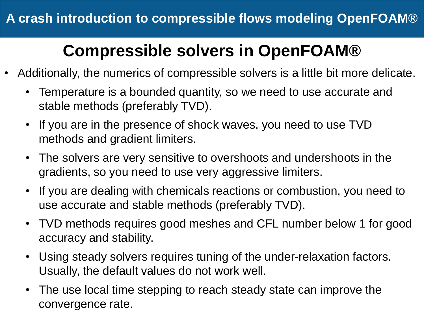- Additionally, the numerics of compressible solvers is a little bit more delicate.
	- Temperature is a bounded quantity, so we need to use accurate and stable methods (preferably TVD).
	- If you are in the presence of shock waves, you need to use TVD methods and gradient limiters.
	- The solvers are very sensitive to overshoots and undershoots in the gradients, so you need to use very aggressive limiters.
	- If you are dealing with chemicals reactions or combustion, you need to use accurate and stable methods (preferably TVD).
	- TVD methods requires good meshes and CFL number below 1 for good accuracy and stability.
	- Using steady solvers requires tuning of the under-relaxation factors. Usually, the default values do not work well.
	- The use local time stepping to reach steady state can improve the convergence rate.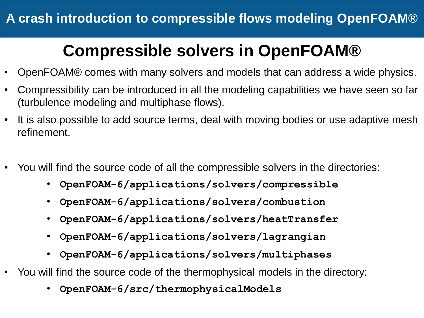- OpenFOAM® comes with many solvers and models that can address a wide physics.
- Compressibility can be introduced in all the modeling capabilities we have seen so far (turbulence modeling and multiphase flows).
- It is also possible to add source terms, deal with moving bodies or use adaptive mesh refinement.
- You will find the source code of all the compressible solvers in the directories:
	- **OpenFOAM-6/applications/solvers/compressible**
	- **OpenFOAM-6/applications/solvers/combustion**
	- **OpenFOAM-6/applications/solvers/heatTransfer**
	- **OpenFOAM-6/applications/solvers/lagrangian**
	- **OpenFOAM-6/applications/solvers/multiphases**
- You will find the source code of the thermophysical models in the directory:
	- **OpenFOAM-6/src/thermophysicalModels**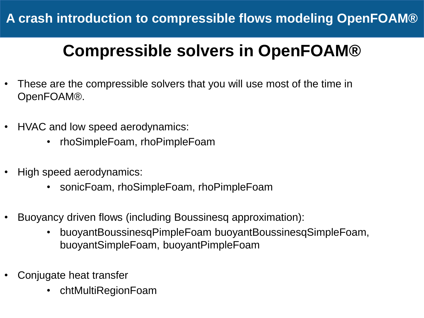- These are the compressible solvers that you will use most of the time in OpenFOAM®.
- HVAC and low speed aerodynamics:
	- rhoSimpleFoam, rhoPimpleFoam
- High speed aerodynamics:
	- sonicFoam, rhoSimpleFoam, rhoPimpleFoam
- Buoyancy driven flows (including Boussinesq approximation):
	- buoyantBoussinesqPimpleFoam buoyantBoussinesqSimpleFoam, buoyantSimpleFoam, buoyantPimpleFoam
- Conjugate heat transfer
	- chtMultiRegionFoam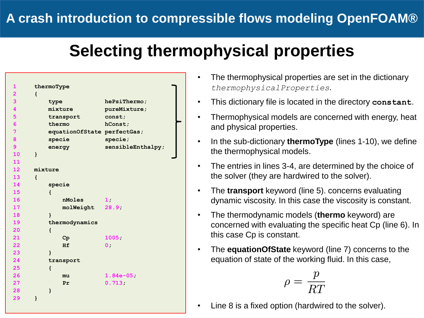```
1 thermoType
2 {
3 type hePsiThermo;
4 mixture pureMixture;
5 transport const;
6 thermo hConst;
7 equationOfState perfectGas;
8 specie specie;
9 energy sensibleEnthalpy;
10 }
11 
12 mixture
13 {
14 specie
15 {
16 nMoles 1;
17 molWeight 28.9;
18 }
19 thermodynamics
20 {
21 Cp 1005;
22 Hf 0;
23 }
24 transport
25 {
26 mu 1.84e-05;
27 Pr 0.713;
28 }
29 }
```
- The thermophysical properties are set in the dictionary *thermophysicalProperties*.
- This dictionary file is located in the directory **constant**.
- Thermophysical models are concerned with energy, heat and physical properties.
- In the sub-dictionary **thermoType** (lines 1-10), we define the thermophysical models.
- The entries in lines 3-4, are determined by the choice of the solver (they are hardwired to the solver).
- The **transport** keyword (line 5). concerns evaluating dynamic viscosity. In this case the viscosity is constant.
- The thermodynamic models (**thermo** keyword) are concerned with evaluating the specific heat Cp (line 6). In this case Cp is constant.
- The **equationOfState** keyword (line 7) concerns to the equation of state of the working fluid. In this case,

$$
o = \frac{p}{RT}
$$

• Line 8 is a fixed option (hardwired to the solver).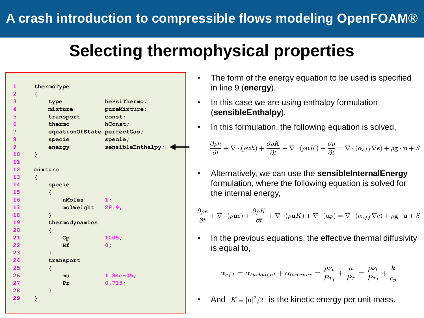```
1 thermoType
2 {
3 type hePsiThermo;
4 mixture pureMixture;
5 transport const;
6 thermo hConst;
7 equationOfState perfectGas;
8 specie specie;
9 energy sensibleEnthalpy;
10 }
11 
12 mixture
13 {
14 specie
15 {
16 nMoles 1;
17 molWeight 28.9;
18 }
19 thermodynamics
20 {
21 Cp 1005;
22 Hf 0;
23 }
24 transport
25 {
26 mu 1.84e-05;
27 Pr 0.713;
28 }
29 }
```
- The form of the energy equation to be used is specified in line 9 (**energy**).
- In this case we are using enthalpy formulation (**sensibleEnthalpy**).
- In this formulation, the following equation is solved,

$$
\frac{\partial \rho h}{\partial t} + \nabla \cdot (\rho \textbf{u} h) + \frac{\partial \rho K}{\partial t} + \nabla \cdot (\rho \textbf{u} K) - \frac{\partial p}{\partial t} = \nabla \cdot (\alpha_{eff} \nabla e) + \rho \textbf{g} \cdot \textbf{u} + S
$$

• Alternatively, we can use the **sensibleInternalEnergy**  formulation, where the following equation is solved for the internal energy,

$$
\frac{\partial \rho e}{\partial t} + \nabla \cdot (\rho \mathbf{u}e) + \frac{\partial \rho K}{\partial t} + \nabla \cdot (\rho \mathbf{u}K) + \nabla \cdot (\mathbf{u}p) = \nabla \cdot (\alpha_{eff} \nabla e) + \rho \mathbf{g} \cdot \mathbf{u} + S
$$

In the previous equations, the effective thermal diffusivity is equal to,

$$
\alpha_{eff} = \alpha_{turbulent} + \alpha_{laminar} = \frac{\rho \nu_t}{Pr_t} + \frac{\mu}{Pr} = \frac{\rho \nu_t}{Pr_t} + \frac{k}{c_p}
$$

• And  $K = |u|^2/2$  is the kinetic energy per unit mass.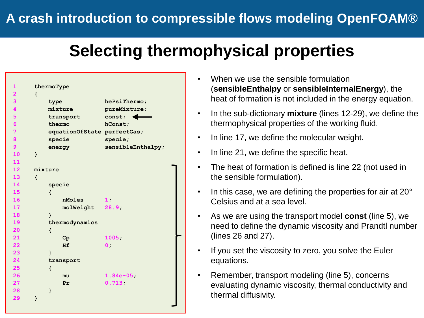| 1                       | thermoType                  |                   |
|-------------------------|-----------------------------|-------------------|
| $\overline{\mathbf{2}}$ | $\mathbf{f}$                |                   |
| 3                       | type                        | hePsiThermo;      |
| 4                       | mixture                     | pureMixture;      |
| 5                       | transport                   | const.            |
| $6\overline{6}$         | thermo                      | hConst;           |
| $\overline{7}$          | equationOfState perfectGas; |                   |
| 8                       | specie                      | species;          |
| 9                       | energy                      | sensibleEnthalpy; |
| 10                      | }                           |                   |
| 11                      |                             |                   |
| 12 <sup>7</sup>         | mixture                     |                   |
| 13 <sup>°</sup>         | $\mathbf{f}$                |                   |
| 14                      | specie                      |                   |
| 15                      | $\mathbf{f}$                |                   |
| 16                      | nMoles                      | 1:                |
| 17                      | molWeight                   | 28.9 <sub>1</sub> |
| 18                      | $\mathbf{r}$                |                   |
| 19                      | thermodynamics              |                   |
| 20                      | $\mathfrak{f}$              |                   |
| 21                      | $C_{\mathbf{P}}$            | 1005:             |
| 22                      | Hf                          | 0;                |
| 23                      | $\mathbf{R}$                |                   |
| 24                      | transport                   |                   |
| 25                      | $\mathbf{f}$                |                   |
| 26                      | mu                          | $1.84e-05$        |
| 27                      | Pr                          | $0.713 -$         |
| 28                      | $\mathbf{1}$                |                   |
| 29                      | ł                           |                   |
|                         |                             |                   |

- When we use the sensible formulation (**sensibleEnthalpy** or **sensibleInternalEnergy**), the heat of formation is not included in the energy equation.
- In the sub-dictionary **mixture** (lines 12-29), we define the thermophysical properties of the working fluid.
- In line 17, we define the molecular weight.
- In line 21, we define the specific heat.
- The heat of formation is defined is line 22 (not used in the sensible formulation).
- In this case, we are defining the properties for air at 20° Celsius and at a sea level.
- As we are using the transport model **const** (line 5), we need to define the dynamic viscosity and Prandtl number (lines 26 and 27).
- If you set the viscosity to zero, you solve the Euler equations.
- Remember, transport modeling (line 5), concerns evaluating dynamic viscosity, thermal conductivity and thermal diffusivity.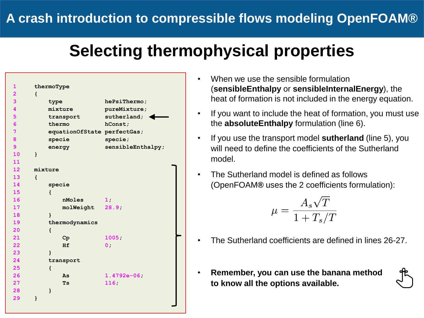| 1                       | thermoType                  |                   |
|-------------------------|-----------------------------|-------------------|
| $\overline{\mathbf{2}}$ | $\mathbf{f}$                |                   |
| 3                       | type                        | hePsiThermo;      |
| $\overline{\mathbf{4}}$ | mixture                     | pureMixture;      |
| 5                       | transport                   | sutherland;       |
| $6\phantom{a}$          | thermo                      | hConst;           |
| $\overline{7}$          | equationOfState perfectGas; |                   |
| 8                       | specie                      | species;          |
| 9                       |                             | sensibleEnthalpy; |
| 10                      | energy<br>$\mathbf{r}$      |                   |
| 11                      |                             |                   |
| 12 <sup>7</sup>         | mixture                     |                   |
| 13 <sup>°</sup>         | $\mathbf{f}$                |                   |
| 14                      |                             |                   |
| 15                      | specie                      |                   |
| 16                      | $\mathbf{f}$<br>nMoles      |                   |
|                         |                             | 1:                |
| 17                      | molWeight                   | 28.9              |
| 18                      | $\mathbf{r}$                |                   |
| 19                      | thermodynamics              |                   |
| 20                      | $\mathbf{f}$                |                   |
| 21                      | $C_{\mathbf{P}}$            | 1005              |
| 22                      | Hf                          | 0:                |
| 23                      | ł                           |                   |
| 24                      | transport                   |                   |
| 25                      | $\mathbf{f}$                |                   |
| 26                      | As                          | $1.4792e-06;$     |
| 27                      | <b>Ts</b>                   | 116;              |
| 28                      | $\mathbf{I}$                |                   |
| 29                      | ł                           |                   |
|                         |                             |                   |

- When we use the sensible formulation (**sensibleEnthalpy** or **sensibleInternalEnergy**), the heat of formation is not included in the energy equation.
- If you want to include the heat of formation, you must use the **absoluteEnthalpy** formulation (line 6).
- If you use the transport model **sutherland** (line 5), you will need to define the coefficients of the Sutherland model.
- The Sutherland model is defined as follows (OpenFOAM**®** uses the 2 coefficients formulation):

$$
\mu=\frac{A_s\sqrt{T}}{1+T_s/T}
$$

- The Sutherland coefficients are defined in lines 26-27.
- **Remember, you can use the banana method to know all the options available.**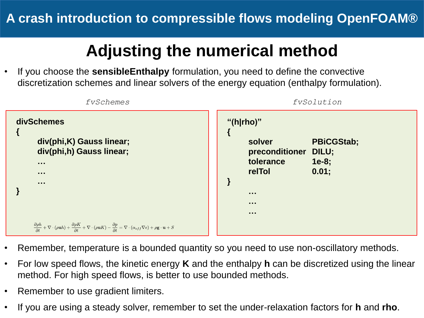# **Adjusting the numerical method**

• If you choose the **sensibleEnthalpy** formulation, you need to define the convective discretization schemes and linear solvers of the energy equation (enthalpy formulation).



- Remember, temperature is a bounded quantity so you need to use non-oscillatory methods.
- For low speed flows, the kinetic energy **K** and the enthalpy **h** can be discretized using the linear method. For high speed flows, is better to use bounded methods.
- Remember to use gradient limiters.
- If you are using a steady solver, remember to set the under-relaxation factors for **h** and **rho**.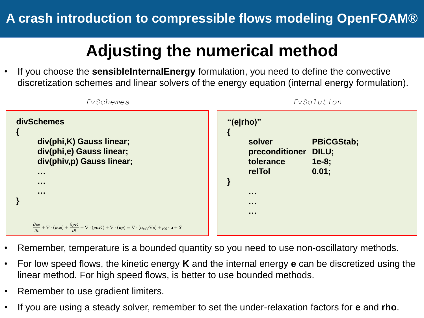# **Adjusting the numerical method**

• If you choose the **sensibleInternalEnergy** formulation, you need to define the convective discretization schemes and linear solvers of the energy equation (internal energy formulation).



- Remember, temperature is a bounded quantity so you need to use non-oscillatory methods.
- For low speed flows, the kinetic energy **K** and the internal energy **e** can be discretized using the linear method. For high speed flows, is better to use bounded methods.
- Remember to use gradient limiters.
- If you are using a steady solver, remember to set the under-relaxation factors for **e** and **rho**.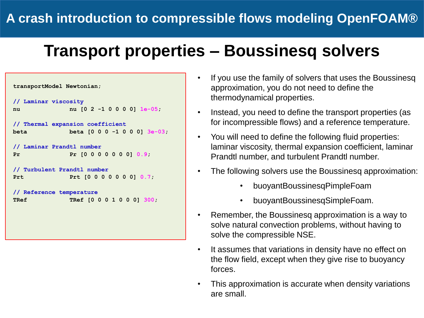#### **Transport properties – Boussinesq solvers**



- If you use the family of solvers that uses the Boussinesq approximation, you do not need to define the thermodynamical properties.
- Instead, you need to define the transport properties (as for incompressible flows) and a reference temperature.
- You will need to define the following fluid properties: laminar viscosity, thermal expansion coefficient, laminar Prandtl number, and turbulent Prandtl number.
- The following solvers use the Boussinesq approximation:
	- buoyantBoussinesqPimpleFoam
	- buoyantBoussinesqSimpleFoam.
- Remember, the Boussinesq approximation is a way to solve natural convection problems, without having to solve the compressible NSE.
- It assumes that variations in density have no effect on the flow field, except when they give rise to buoyancy forces.
- This approximation is accurate when density variations are small.